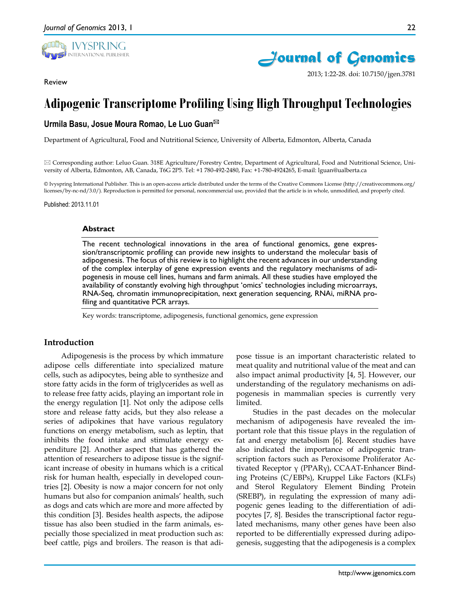

Review



2013; 1:22-28. doi: 10.7150/jgen.3781

# **Adipogenic Transcriptome Profiling Using High Throughput Technologies**

# **Urmila Basu, Josue Moura Romao, Le Luo Guan**

Department of Agricultural, Food and Nutritional Science, University of Alberta, Edmonton, Alberta, Canada

 Corresponding author: Leluo Guan. 318E Agriculture/Forestry Centre, Department of Agricultural, Food and Nutritional Science, University of Alberta, Edmonton, AB, Canada, T6G 2P5. Tel: +1 780-492-2480, Fax: +1-780-4924265, E-mail: lguan@ualberta.ca

© Ivyspring International Publisher. This is an open-access article distributed under the terms of the Creative Commons License (http://creativecommons.org/ licenses/by-nc-nd/3.0/). Reproduction is permitted for personal, noncommercial use, provided that the article is in whole, unmodified, and properly cited.

Published: 2013.11.01

#### **Abstract**

The recent technological innovations in the area of functional genomics, gene expression/transcriptomic profiling can provide new insights to understand the molecular basis of adipogenesis. The focus of this review is to highlight the recent advances in our understanding of the complex interplay of gene expression events and the regulatory mechanisms of adipogenesis in mouse cell lines, humans and farm animals. All these studies have employed the availability of constantly evolving high throughput 'omics' technologies including microarrays, RNA-Seq, chromatin immunoprecipitation, next generation sequencing, RNAi, miRNA profiling and quantitative PCR arrays.

Key words: transcriptome, adipogenesis, functional genomics, gene expression

## **Introduction**

Adipogenesis is the process by which immature adipose cells differentiate into specialized mature cells, such as adipocytes, being able to synthesize and store fatty acids in the form of triglycerides as well as to release free fatty acids, playing an important role in the energy regulation [1]. Not only the adipose cells store and release fatty acids, but they also release a series of adipokines that have various regulatory functions on energy metabolism, such as leptin, that inhibits the food intake and stimulate energy expenditure [2]. Another aspect that has gathered the attention of researchers to adipose tissue is the significant increase of obesity in humans which is a critical risk for human health, especially in developed countries [2]. Obesity is now a major concern for not only humans but also for companion animals' health, such as dogs and cats which are more and more affected by this condition [3]. Besides health aspects, the adipose tissue has also been studied in the farm animals, especially those specialized in meat production such as: beef cattle, pigs and broilers. The reason is that adipose tissue is an important characteristic related to meat quality and nutritional value of the meat and can also impact animal productivity [4, 5]. However, our understanding of the regulatory mechanisms on adipogenesis in mammalian species is currently very limited.

Studies in the past decades on the molecular mechanism of adipogenesis have revealed the important role that this tissue plays in the regulation of fat and energy metabolism [6]. Recent studies have also indicated the importance of adipogenic transcription factors such as Peroxisome Proliferator Activated Receptor γ (PPARγ), CCAAT-Enhancer Binding Proteins (C/EBPs), Kruppel Like Factors (KLFs) and Sterol Regulatory Element Binding Protein (SREBP), in regulating the expression of many adipogenic genes leading to the differentiation of adipocytes [7, 8]. Besides the transcriptional factor regulated mechanisms, many other genes have been also reported to be differentially expressed during adipogenesis, suggesting that the adipogenesis is a complex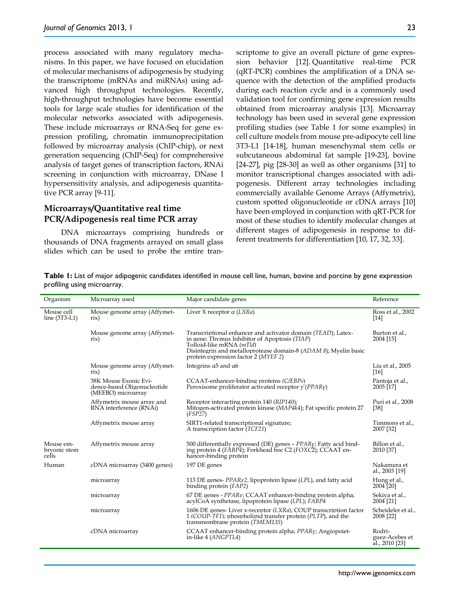process associated with many regulatory mechanisms. In this paper, we have focused on elucidation of molecular mechanisms of adipogenesis by studying the transcriptome (mRNAs and miRNAs) using advanced high throughput technologies. Recently, high-throughput technologies have become essential tools for large scale studies for identification of the molecular networks associated with adipogenesis. These include microarrays or RNA-Seq for gene expression profiling, chromatin immunoprecipitation followed by microarray analysis (ChIP-chip), or next generation sequencing (ChIP-Seq) for comprehensive analysis of target genes of transcription factors, RNAi screening in conjunction with microarray, DNase I hypersensitivity analysis, and adipogenesis quantitative PCR array [9-11].

## **Microarrays/Quantitative real time PCR/Adipogenesis real time PCR array**

DNA microarrays comprising hundreds or thousands of DNA fragments arrayed on small glass slides which can be used to probe the entire transcriptome to give an overall picture of gene expression behavior [12]. Quantitative real-time PCR (qRT-PCR) combines the amplification of a DNA sequence with the detection of the amplified products during each reaction cycle and is a commonly used validation tool for confirming gene expression results obtained from microarray analysis [13]. Microarray technology has been used in several gene expression profiling studies (see Table 1 for some examples) in cell culture models from mouse pre-adipocyte cell line 3T3-L1 [14-18], human mesenchymal stem cells or subcutaneous abdominal fat sample [19-23], bovine [24-27], pig [28-30] as well as other organisms [31] to monitor transcriptional changes associated with adipogenesis. Different array technologies including commercially available Genome Arrays (Affymetrix), custom spotted oligonucleotide or cDNA arrays [10] have been employed in conjunction with qRT-PCR for most of these studies to identify molecular changes at different stages of adipogenesis in response to different treatments for differentiation [10, 17, 32, 33].

| Organism                           | Microarray used                                                            | Major candidate genes                                                                                                                                                                                                                                | Reference                                  |
|------------------------------------|----------------------------------------------------------------------------|------------------------------------------------------------------------------------------------------------------------------------------------------------------------------------------------------------------------------------------------------|--------------------------------------------|
| Mouse cell<br>line $(3T3-L1)$      | Mouse genome array (Affymet-<br>$\operatorname{rix}$                       | Liver X receptor $\alpha$ (LXRa)                                                                                                                                                                                                                     | Ross et al., 2002<br>$[14]$                |
|                                    | Mouse genome array (Affymet-<br>$\operatorname{rix}$                       | Transcriptional enhancer and activator domain (TEAD); Latex-<br>in gene; Thymus Inhibitor of Apoptosis (TIAP)<br>Tolloid-like mRNA (mTld)<br>Disintegrin and metalloprotease domain-8 (ADAM 8); Myelin basic<br>protein expression factor 2 (MYEF 2) | Burton et al.,<br>2004 [15]                |
|                                    | Mouse genome array (Affymet-<br>$\operatorname{rix}$                       | Integrins $\alpha$ 5 and $\alpha$ 6                                                                                                                                                                                                                  | Liu et al., 2005<br>[16]                   |
|                                    | 38K Mouse Exonic Evi-<br>dence-based Oligonucleotide<br>(MEEBO) microarray | CCAAT-enhancer-binding proteins (C/EBPs)<br>Peroxisome proliferator activated receptor $\sqrt{\langle PPAR \gamma \rangle}$                                                                                                                          | Pantoja et al.,<br>2005 [17]               |
|                                    | Affymetrix mouse array and<br>RNA interference (RNAi)                      | Receptor interacting protein 140 (RIP140);<br>Mitogen-activated protein kinase (MAP4k4); Fat specific protein 27<br>(FSP27)                                                                                                                          | Puri et al., 2008<br>[38]                  |
|                                    | Affymetrix mouse array                                                     | SIRT1-related transcriptional signature;<br>A transcription factor ( <i>TCF21</i> )                                                                                                                                                                  | Timmons et al.,<br>2007 [32]               |
| Mouse em-<br>bryonic stem<br>cells | Affymetrix mouse array                                                     | 500 differentially expressed (DE) genes - $PPAR\gamma$ ; Fatty acid bind-<br>ing protein 4 (FABP4); Forkhead boc C2 (FOXC2); CCAAT en-<br>hancer-binding protein                                                                                     | Billon et al.,<br>2010 [37]                |
| Human                              | cDNA microarray (3400 genes)                                               | 197 DE genes                                                                                                                                                                                                                                         | Nakamura et<br>al., 2003 [19]              |
|                                    | microarray                                                                 | 113 DE genes- $PPARv2$ , lipoprotein lipase (LPL), and fatty acid<br>binding protein (FAP2)                                                                                                                                                          | Hung et al.,<br>2004 [20]                  |
|                                    | microarray                                                                 | 67 DE genes - PPARy; CCAAT enhancer-binding protein alpha;<br>acylCoA synthetase, lipoprotein lipase (LPL); FABP4                                                                                                                                    | Sekiya et al.,<br>2004 [21]                |
|                                    | microarray                                                                 | 1606 DE genes-Liver x-receptor (LXRa); COUP transcription factor<br>1 (COUP-TF1); phospholipid transfer protein (PLTP), and the<br>transmembrane protein (TMEM135)                                                                                   | Scheideler et al.,<br>2008 [22]            |
|                                    | cDNA microarray                                                            | CCAAT enhancer-binding protein alpha; PPAR <sub>Y</sub> ; Angiopoiet-<br>in-like 4 (ANGPTL4)                                                                                                                                                         | Rodri-<br>guez-Acebes et<br>al., 2010 [23] |

**Table 1:** List of major adipogenic candidates identified in mouse cell line, human, bovine and porcine by gene expression profiling using microarray.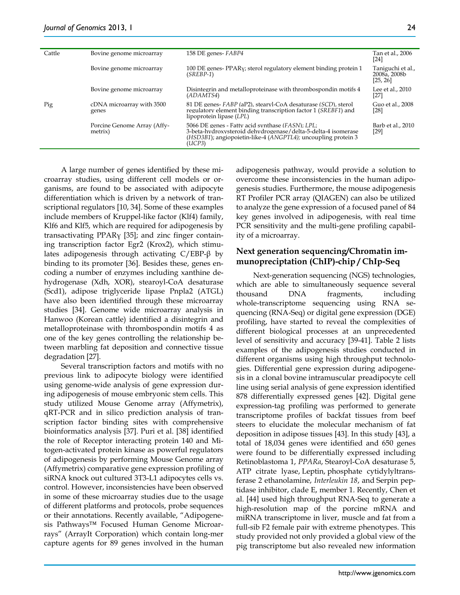| Cattle | Bovine genome microarray               | 158 DE genes-FABP4                                                                                                                                                                           | Tan et al., 2006<br>[24]                      |
|--------|----------------------------------------|----------------------------------------------------------------------------------------------------------------------------------------------------------------------------------------------|-----------------------------------------------|
|        | Bovine genome microarray               | 100 DE genes- PPAR <sub>V</sub> ; sterol regulatory element binding protein 1<br>$(SREBP-1)$                                                                                                 | Taniguchi et al.,<br>2008a, 2008b<br>[25, 26] |
|        | Bovine genome microarray               | Disintegrin and metalloproteinase with thrombospondin motifs 4<br>(ADAMTS4)                                                                                                                  | Lee et al., 2010<br>$[27]$                    |
| Pig    | cDNA microarray with 3500<br>genes     | 81 DE genes-FABP (aP2), stearyl-CoA desaturase (SCD), sterol<br>regulatory element binding transcription factor 1 (SREBF1) and<br>lipoprotein lipase (LPL)                                   | Guo et al., 2008<br>[28]                      |
|        | Porcine Genome Array (Affy-<br>metrix) | 5066 DE genes - Fatty acid synthase (FASN); LPL;<br>3-beta-hydroxysteroid dehydrogenase/delta-5-delta-4 isomerase<br>(HSD3B1); angiopoietin-like-4 (ANGPTL4); uncoupling protein 3<br>(UCP3) | Barb et al., 2010<br>[29]                     |

A large number of genes identified by these microarray studies, using different cell models or organisms, are found to be associated with adipocyte differentiation which is driven by a network of transcriptional regulators [10, 34]. Some of these examples include members of Kruppel-like factor (Klf4) family, Klf6 and Klf5, which are required for adipogenesis by transactivating PPARγ [35]; and zinc finger containing transcription factor Egr2 (Krox2), which stimulates adipogenesis through activating  $C/EBP-\beta$  by binding to its promoter [36]. Besides these, genes encoding a number of enzymes including xanthine dehydrogenase (Xdh, XOR), stearoyl-CoA desaturase (Scd1), adipose triglyceride lipase Pnpla2 (ATGL) have also been identified through these microarray studies [34]. Genome wide microarray analysis in Hanwoo (Korean cattle) identified a disintegrin and metalloproteinase with thrombospondin motifs 4 as one of the key genes controlling the relationship between marbling fat deposition and connective tissue degradation [27].

Several transcription factors and motifs with no previous link to adipocyte biology were identified using genome-wide analysis of gene expression during adipogenesis of mouse embryonic stem cells. This study utilized Mouse Genome array (Affymetrix), qRT-PCR and in silico prediction analysis of transcription factor binding sites with comprehensive bioinformatics analysis [37]. Puri et al. [38] identified the role of Receptor interacting protein 140 and Mitogen-activated protein kinase as powerful regulators of adipogenesis by performing Mouse Genome array (Affymetrix) comparative gene expression profiling of siRNA knock out cultured 3T3-L1 adipocytes cells vs. control. However, inconsistencies have been observed in some of these microarray studies due to the usage of different platforms and protocols, probe sequences or their annotations. Recently available, "Adipogenesis Pathways™ Focused Human Genome Microarrays" (ArrayIt Corporation) which contain long-mer capture agents for 89 genes involved in the human

adipogenesis pathway, would provide a solution to overcome these inconsistencies in the human adipogenesis studies. Furthermore, the mouse adipogenesis RT Profiler PCR array (QIAGEN) can also be utilized to analyze the gene expression of a focused panel of 84 key genes involved in adipogenesis, with real time PCR sensitivity and the multi-gene profiling capability of a microarray.

# **Next generation sequencing/Chromatin immunopreciptation (ChIP)-chip / ChIp-Seq**

Next-generation sequencing (NGS) technologies, which are able to simultaneously sequence several thousand DNA fragments, including whole-transcriptome sequencing using RNA sequencing (RNA-Seq) or digital gene expression (DGE) profiling, have started to reveal the complexities of different biological processes at an unprecedented level of sensitivity and accuracy [39-41]. Table 2 lists examples of the adipogenesis studies conducted in different organisms using high throughput technologies. Differential gene expression during adipogenesis in a clonal bovine intramuscular preadipocyte cell line using serial analysis of gene expression identified 878 differentially expressed genes [42]. Digital gene expression-tag profiling was performed to generate transcriptome profiles of backfat tissues from beef steers to elucidate the molecular mechanism of fat deposition in adipose tissues [43]. In this study [43], a total of 18,034 genes were identified and 650 genes were found to be differentially expressed including Retinoblastoma 1, *PPARα*, Stearoyl-CoA desaturase 5, ATP citrate lyase, Leptin, phosphate cytidylyltransferase 2 ethanolamine, *Interleukin 18*, and Serpin peptidase inhibitor, clade E, member 1. Recently, Chen et al. [44] used high throughput RNA-Seq to generate a high-resolution map of the porcine mRNA and miRNA transcriptome in liver, muscle and fat from a full-sib F2 female pair with extreme phenotypes. This study provided not only provided a global view of the pig transcriptome but also revealed new information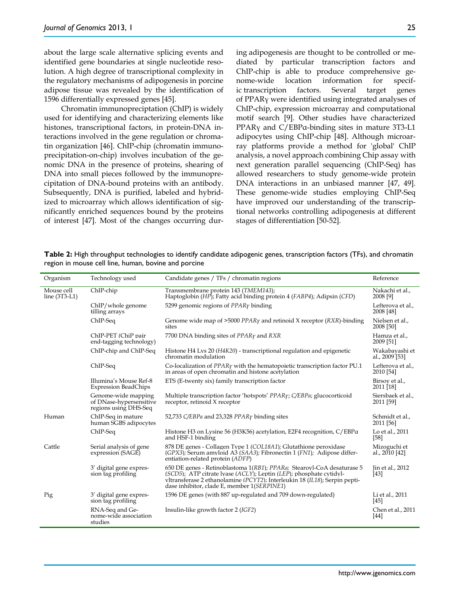about the large scale alternative splicing events and identified gene boundaries at single nucleotide resolution. A high degree of transcriptional complexity in the regulatory mechanisms of adipogenesis in porcine adipose tissue was revealed by the identification of 1596 differentially expressed genes [45].

Chromatin immunopreciptation (ChIP) is widely used for identifying and characterizing elements like histones, transcriptional factors, in protein-DNA interactions involved in the gene regulation or chromatin organization [46]. ChIP-chip (chromatin immunoprecipitation-on-chip) involves incubation of the genomic DNA in the presence of proteins, shearing of DNA into small pieces followed by the immunoprecipitation of DNA-bound proteins with an antibody. Subsequently, DNA is purified, labeled and hybridized to microarray which allows identification of significantly enriched sequences bound by the proteins of interest [47]. Most of the changes occurring during adipogenesis are thought to be controlled or mediated by particular transcription factors and ChIP-chip is able to produce comprehensive genome-wide location information for specific transcription factors. Several target genes of PPARγ were identified using integrated analyses of ChIP-chip, expression microarray and computational motif search [9]. Other studies have characterized PPARγ and C/EBPα-binding sites in mature 3T3-L1 adipocytes using ChIP-chip [48]. Although microarray platforms provide a method for 'global' ChIP analysis, a novel approach combining Chip assay with next generation parallel sequencing (ChIP-Seq) has allowed researchers to study genome-wide protein DNA interactions in an unbiased manner [47, 49]. These genome-wide studies employing ChIP-Seq have improved our understanding of the transcriptional networks controlling adipogenesis at different stages of differentiation [50-52].

**Table 2:** High throughput technologies to identify candidate adipogenic genes, transcription factors (TFs), and chromatin region in mouse cell line, human, bovine and porcine

| Organism                      | Technology used                                                         | Candidate genes / TFs / chromatin regions                                                                                                                                                                                                                                          | Reference                                   |
|-------------------------------|-------------------------------------------------------------------------|------------------------------------------------------------------------------------------------------------------------------------------------------------------------------------------------------------------------------------------------------------------------------------|---------------------------------------------|
| Mouse cell<br>line $(3T3-L1)$ | ChIP-chip                                                               | Transmembrane protein 143 (TMEM143);<br>Haptoglobin (HP); Fatty acid binding protein 4 (FABP4); Adipsin (CFD)                                                                                                                                                                      | Nakachi et al.,<br>2008 [9]                 |
|                               | ChIP/whole genome<br>tilling arrays                                     | 5299 genomic regions of $PPAR\gamma$ binding                                                                                                                                                                                                                                       | Lefterova et al.,<br>2008 [48]              |
|                               | ChIP-Seq                                                                | Genome wide map of $>5000$ PPAR $\gamma$ and retinoid X receptor (RXR)-binding<br>sites                                                                                                                                                                                            | Nielsen et al.,<br>2008 [50]                |
|                               | ChIP-PET (ChiP pair<br>end-tagging technology)                          | 7700 DNA binding sites of $PPAR\gamma$ and RXR                                                                                                                                                                                                                                     | Hamza et al.,<br>2009 [51]                  |
|                               | ChIP-chip and ChIP-Seq                                                  | Histone H4 Lys 20 (H4K20) - transcriptional regulation and epigenetic<br>chromatin modulation                                                                                                                                                                                      | Wakabayashi et<br>al., 2009 <sup>[53]</sup> |
|                               | ChIP-Seq                                                                | Co-localization of $PPAR\gamma$ with the hematopoietic transcription factor PU.1<br>in areas of open chromatin and histone acetylation                                                                                                                                             | Lefterova et al.,<br>2010 [54]              |
|                               | Illumina's Mouse Ref-8<br><b>Expression BeadChips</b>                   | ETS (E-twenty six) family transcription factor                                                                                                                                                                                                                                     | Birsov et al.,<br>2011 [18]                 |
|                               | Genome-wide mapping<br>of DNase-hypersensitive<br>regions using DHS-Seq | Multiple transcription factor 'hotspots' PPARy; C/EBPa; glucocorticoid<br>receptor, retinoid X receptor                                                                                                                                                                            | Siersbaek et al.,<br>2011 [59]              |
| Human                         | ChIP-Seq in mature<br>human SGBS adipocytes                             | 52,733 C/EBPa and 23,328 PPAR <sub>Y</sub> binding sites                                                                                                                                                                                                                           | Schmidt et al.,<br>2011 [56]                |
|                               | ChIP-Seq                                                                | Histone H <sub>3</sub> on Lysine 56 (H <sub>3</sub> K56) acetylation, E <sub>2F4</sub> recognition, C/EBPa<br>and HSF-1 binding                                                                                                                                                    | Lo et al., 2011<br>$[58]$                   |
| Cattle                        | Serial analysis of gene<br>expression (SAGE)                            | 878 DE genes - Collagen Type 1 (COL18A1); Glutathione peroxidase<br>$(GPX3)$ : Serum amvloid A3 $(SAA3)$ ; Fibronectin 1 $(FN1)$ ; Adipose differ-<br>entiation-related protein (ADFP)                                                                                             | Mizoguchi et<br>al., 2010 [42]              |
|                               | 3' digital gene expres-<br>sion tag profiling                           | 650 DE genes - Retinoblastoma 1(RB1); PPARa; Stearoyl-CoA desaturase 5<br>$(SCD5)$ ; ATP citrate lyase $(ACLY)$ ; Leptin $(LEP)$ ; phosphate cytidyl-<br>vltransferase 2 ethanolamine (PCYT2): Interleukin 18 (IL18); Serpin pepti-<br>dase inhibitor, clade E, member 1(SERPINE1) | Jin et al., 2012<br>[43]                    |
| Pig                           | 3' digital gene expres-<br>sion tag profiling                           | 1596 DE genes (with 887 up-regulated and 709 down-regulated)                                                                                                                                                                                                                       | Li et al., 2011<br>[45]                     |
|                               | RNA-Seq and Ge-<br>nome-wide association<br>studies                     | Insulin-like growth factor 2 (IGF2)                                                                                                                                                                                                                                                | Chen et al., 2011<br>$[44]$                 |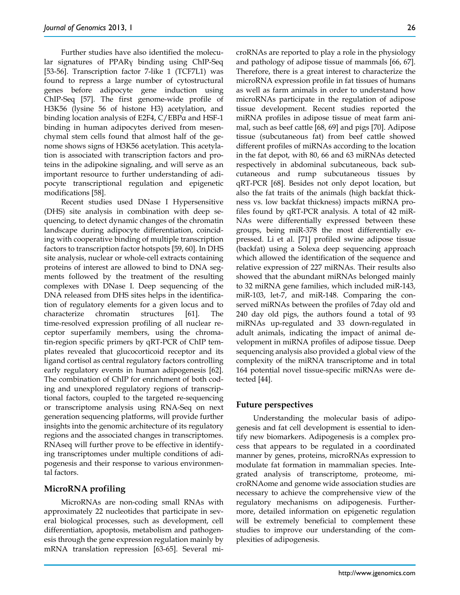Further studies have also identified the molecular signatures of PPARγ binding using ChIP-Seq [53-56]. Transcription factor 7-like 1 (TCF7L1) was found to repress a large number of cytostructural genes before adipocyte gene induction using ChIP-Seq [57]. The first genome-wide profile of H3K56 (lysine 56 of histone H3) acetylation, and binding location analysis of E2F4, C/EBPα and HSF-1 binding in human adipocytes derived from mesenchymal stem cells found that almost half of the genome shows signs of H3K56 acetylation. This acetylation is associated with transcription factors and proteins in the adipokine signaling, and will serve as an important resource to further understanding of adipocyte transcriptional regulation and epigenetic modifications [58].

Recent studies used DNase I Hypersensitive (DHS) site analysis in combination with deep sequencing, to detect dynamic changes of the chromatin landscape during adipocyte differentiation, coinciding with cooperative binding of multiple transcription factors to transcription factor hotspots [59, 60]. In DHS site analysis, nuclear or whole-cell extracts containing proteins of interest are allowed to bind to DNA segments followed by the treatment of the resulting complexes with DNase I. Deep sequencing of the DNA released from DHS sites helps in the identification of regulatory elements for a given locus and to characterize chromatin structures [61]. The time-resolved expression profiling of all nuclear receptor superfamily members, using the chromatin-region specific primers by qRT-PCR of ChIP templates revealed that glucocorticoid receptor and its ligand cortisol as central regulatory factors controlling early regulatory events in human adipogenesis [62]. The combination of ChIP for enrichment of both coding and unexplored regulatory regions of transcriptional factors, coupled to the targeted re-sequencing or transcriptome analysis using RNA-Seq on next generation sequencing platforms, will provide further insights into the genomic architecture of its regulatory regions and the associated changes in transcriptomes. RNAseq will further prove to be effective in identifying transcriptomes under multiple conditions of adipogenesis and their response to various environmental factors.

## **MicroRNA profiling**

MicroRNAs are non-coding small RNAs with approximately 22 nucleotides that participate in several biological processes, such as development, cell differentiation, apoptosis, metabolism and pathogenesis through the gene expression regulation mainly by mRNA translation repression [63-65]. Several microRNAs are reported to play a role in the physiology and pathology of adipose tissue of mammals [66, 67]. Therefore, there is a great interest to characterize the microRNA expression profile in fat tissues of humans as well as farm animals in order to understand how microRNAs participate in the regulation of adipose tissue development. Recent studies reported the miRNA profiles in adipose tissue of meat farm animal, such as beef cattle [68, 69] and pigs [70]. Adipose tissue (subcutaneous fat) from beef cattle showed different profiles of miRNAs according to the location in the fat depot, with 80, 66 and 63 miRNAs detected respectively in abdominal subcutaneous, back subcutaneous and rump subcutaneous tissues by qRT-PCR [68]. Besides not only depot location, but also the fat traits of the animals (high backfat thickness vs. low backfat thickness) impacts miRNA profiles found by qRT-PCR analysis. A total of 42 miR-NAs were differentially expressed between these groups, being miR-378 the most differentially expressed. Li et al. [71] profiled swine adipose tissue (backfat) using a Solexa deep sequencing approach which allowed the identification of the sequence and relative expression of 227 miRNAs. Their results also showed that the abundant miRNAs belonged mainly to 32 miRNA gene families, which included miR-143, miR-103, let-7, and miR-148. Comparing the conserved miRNAs between the profiles of 7day old and 240 day old pigs, the authors found a total of 93 miRNAs up-regulated and 33 down-regulated in adult animals, indicating the impact of animal development in miRNA profiles of adipose tissue. Deep sequencing analysis also provided a global view of the complexity of the miRNA transcriptome and in total 164 potential novel tissue-specific miRNAs were detected [44].

## **Future perspectives**

Understanding the molecular basis of adipogenesis and fat cell development is essential to identify new biomarkers. Adipogenesis is a complex process that appears to be regulated in a coordinated manner by genes, proteins, microRNAs expression to modulate fat formation in mammalian species. Integrated analysis of transcriptome, proteome, microRNAome and genome wide association studies are necessary to achieve the comprehensive view of the regulatory mechanisms on adipogenesis. Furthermore, detailed information on epigenetic regulation will be extremely beneficial to complement these studies to improve our understanding of the complexities of adipogenesis.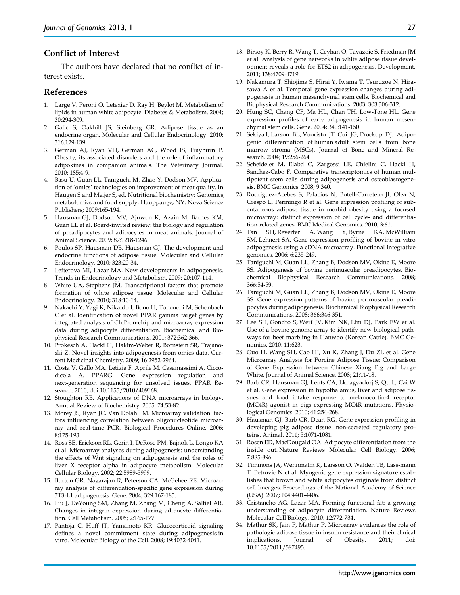## **Conflict of Interest**

The authors have declared that no conflict of interest exists.

#### **References**

- 1. Large V, Peroni O, Letexier D, Ray H, Beylot M. Metabolism of lipids in human white adipocyte. Diabetes & Metabolism. 2004; 30:294-309.
- 2. Galic S, Oakhill JS, Steinberg GR. Adipose tissue as an endocrine organ. Molecular and Cellular Endocrinology. 2010; 316:129-139.
- 3. German AJ, Ryan VH, German AC, Wood IS, Trayhurn P. Obesity, its associated disorders and the role of inflammatory adipokines in companion animals. The Veterinary Journal. 2010; 185:4-9.
- 4. Basu U, Guan LL, Taniguchi M, Zhao Y, Dodson MV. Application of 'omics' technologies on improvement of meat quality. In: Haugen S and Meijer S, ed. Nutritional biochemistry: Genomics, metabolomics and food supply. Hauppauge, NY: Nova Science Publishers; 2009:165-194.
- 5. Hausman GJ, Dodson MV, Ajuwon K, Azain M, Barnes KM, Guan LL et al. Board-invited review: the biology and regulation of preadipocytes and adipocytes in meat animals. Journal of Animal Science. 2009; 87:1218-1246.
- 6. Poulos SP, Hausman DB, Hausman GJ. The development and endocrine functions of adipose tissue. Molecular and Cellular Endocrinology. 2010; 323:20-34.
- 7. Lefterova MI, Lazar MA. New developments in adipogenesis. Trends in Endocrinology and Metabolism. 2009; 20:107-114.
- 8. White UA, Stephens JM. Transcriptional factors that promote formation of white adipose tissue. Molecular and Cellular Endocrinology. 2010; 318:10-14.
- 9. Nakachi Y, Yagi K, Nikaido I, Bono H, Tonouchi M, Schonbach C et al. Identification of novel PPAR gamma target genes by integrated analysis of ChiP-on-chip and microarray expression data during adipocyte differentiation. Biochemical and Biophysical Research Communications. 2001; 372:362-366.
- 10. Prokesch A, Hacki H, Hakim-Weber R, Bornstein SR, Trajanoski Z. Novel insights into adipogenesis from omics data. Current Medicinal Chemistry. 2009; 16:2952-2964.
- 11. Costa V, Gallo MA, Letizia F, Aprile M, Casamassimi A, Ciccodicola A. PPARG: Gene expression regulation and next-generation sequencing for unsolved issues. PPAR Research. 2010; doi:10.1155/2010/409168.
- 12. Stoughton RB. Applications of DNA microarrays in biology. Annual Review of Biochemistry. 2005; 74:53-82.
- 13. Morey JS, Ryan JC, Van Dolah FM. Microarray validation: factors influencing correlation between oligonucleotide microarray and real-time PCR. Biological Procedures Online. 2006; 8:175-193.
- 14. Ross SE, Erickson RL, Gerin I, DeRose PM, Bajnok L, Longo KA et al. Microarray analyses during adipogenesis: understanding the effects of Wnt signaling on adipogenesis and the roles of liver X receptor alpha in adipocyte metabolism. Molecular Cellular Biology. 2002; 22:5989-5999.
- 15. Burton GR, Nagarajan R, Peterson CA, McGehee RE. Microarray analysis of differentiation-specific gene expression during 3T3-L1 adipogenesis. Gene. 2004; 329:167-185.
- 16. Liu J, DeYoung SM, Zhang M, Zhang M, Cheng A, Saltiel AR. Changes in integrin expression during adipocyte differentiation. Cell Metabolism. 2005; 2:165-177.
- 17. Pantoja C, Huff JT, Yamamoto KR. Glucocorticoid signaling defines a novel commitment state during adipogenesis in vitro. Molecular Biology of the Cell. 2008; 19:4032-4041.
- 18. Birsoy K, Berry R, Wang T, Ceyhan O, Tavazoie S, Friedman JM et al. Analysis of gene networks in white adipose tissue development reveals a role for ETS2 in adipogenesis. Development. 2011; 138:4709-4719.
- 19. Nakamura T, Shiojima S, Hirai Y, Iwama T, Tsuruzoe N, Hirasawa A et al. Temporal gene expression changes during adipogenesis in human mesenchymal stem cells. Biochemical and Biophysical Research Communications. 2003; 303:306-312.
- 20. Hung SC, Chang CF, Ma HL, Chen TH, Low-Tone HL. Gene expression profiles of early adipogenesis in human mesenchymal stem cells. Gene. 2004; 340:141-150.
- 21. Sekiya I, Larson BL, Vuoristo JT, Cui JG, Prockop DJ. Adipogenic differentiation of human adult stem cells from bone marrow stroma (MSCs). Journal of Bone and Mineral Research. 2004; 19:256-264.
- 22. Scheideler M, Elabd C, Zargossi LE, Chielini C, Hackl H, Sanchez-Cabo F. Comparative transcriptomics of human multipotent stem cells during adipogenesis and osteoblastogenesis. BMC Genomics. 2008; 9:340.
- 23. Rodriguez-Acebes S, Palacios N, Botell-Carretero JI, Olea N, Crespo L, Permingo R et al. Gene expression profiling of subcutaneous adipose tissue in morbid obesity using a focused microarray: distinct expression of cell cycle- and differentiation-related genes. BMC Medical Genomics. 2010; 3:61.
- 24. Tan SH, Reverter A, Wang Y, Byrne KA, McWilliam SM, Lehnert SA. Gene expression profiling of bovine in vitro adipogenesis using a cDNA microarray. Functional integrative genomics. 2006; 6:235-249.
- 25. Taniguchi M, Guan LL, Zhang B, Dodson MV, Okine E, Moore SS. Adipogenesis of bovine perimuscular preadipocytes. Biochemical Biophysical Research Communications. 2008; 366:54-59.
- 26. Taniguchi M, Guan LL, Zhang B, Dodson MV, Okine E, Moore SS. Gene expression patterns of bovine perimuscular preadipocytes during adipogenesis. Biochemical Biophysical Research Communications. 2008; 366:346-351.
- 27. Lee SH, Gondro S, Werf JV, Kim NK, Lim DJ, Park EW et al. Use of a bovine genome array to identify new biological pathways for beef marbling in Hanwoo (Korean Cattle). BMC Genomics. 2010; 11:623.
- 28. Guo H, Wang SH, Cao HJ, Xu K, Zhang J, Du ZL et al. Gene Microarray Analysis for Porcine Adipose Tissue: Comparison of Gene Expression between Chinese Xiang Pig and Large White. Journal of Animal Science. 2008; 21:11-18.
- 29. Barb CR, Hausman GJ, Lents CA, Lkhagvadorj S, Qu L, Cai W et al. Gene expression in hypothalamus, liver and adipose tissues and food intake response to melanocortin-4 receptor (MC4R) agonist in pigs expressing MC4R mutations. Physiological Genomics. 2010; 41:254-268.
- 30. Hausman GJ, Barb CR, Dean RG. Gene expression profiling in developing pig adipose tissue: non-secreted regulatory proteins. Animal. 2011; 5:1071-1081.
- 31. Rosen ED, MacDougald OA. Adipocyte differentiation from the inside out. Nature Reviews Molecular Cell Biology. 2006; 7:885-896.
- 32. Timmons JA, Wennmalm K, Larsson O, Walden TB, Lass-mann T, Petrovic N et al. Myogenic gene expression signature establishes that brown and white adipocytes originate from distinct cell lineages. Proceedings of the National Academy of Science (USA). 2007; 104:4401-4406.
- 33. Cristancho AG, Lazar MA. Forming functional fat: a growing understanding of adipocyte differentiation. Nature Reviews Molecular Cell Biology. 2010; 12:772-734.
- 34. Mathur SK, Jain P, Mathur P. Microarray evidences the role of pathologic adipose tissue in insulin resistance and their clinical implications. Journal of Obesity. 2011; doi: 10.1155/2011/587495.